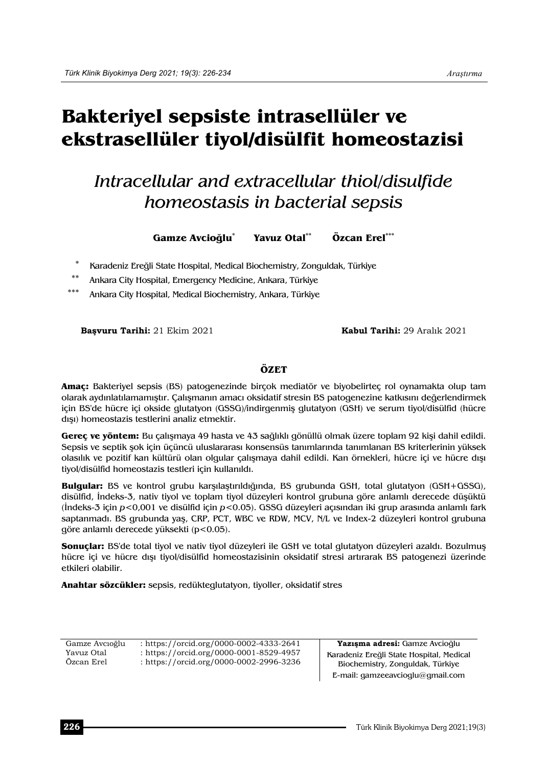# **Bakteriyel sepsiste intrasellüler ve ekstrasellüler tiyol/disülfit homeostazisi**

## *Intracellular and extracellular thiol/disulfide homeostasis in bacterial sepsis*

**Gamze Avcioğlu\* Yavuz Otal\*\* Özcan Erel\*\*\*** 

Karadeniz Ereğli State Hospital, Medical Biochemistry, Zonguldak, Türkiye

Ankara City Hospital, Emergency Medicine, Ankara, Türkiye

Ankara City Hospital, Medical Biochemistry, Ankara, Türkiye

**Başvuru Tarihi:** 21 Ekim 2021 **Kabul Tarihi:** 29 Aralık 2021

### **ÖZET**

**Amaç:** Bakteriyel sepsis (BS) patogenezinde birçok mediatör ve biyobelirteç rol oynamakta olup tam olarak aydınlatılamamıştır. Çalışmanın amacı oksidatif stresin BS patogenezine katkısını değerlendirmek için BS'de hücre içi okside glutatyon (GSSG)/indirgenmiş glutatyon (GSH) ve serum tiyol/disülfid (hücre dışı) homeostazis testlerini analiz etmektir.

**Gereç ve yöntem:** Bu çalışmaya 49 hasta ve 43 sağlıklı gönüllü olmak üzere toplam 92 kişi dahil edildi. Sepsis ve septik şok için üçüncü uluslararası konsensüs tanımlarında tanımlanan BS kriterlerinin yüksek olasılık ve pozitif kan kültürü olan olgular çalışmaya dahil edildi. Kan örnekleri, hücre içi ve hücre dışı tiyol/disülfid homeostazis testleri için kullanıldı.

**Bulgular:** BS ve kontrol grubu karşılaştırıldığında, BS grubunda GSH, total glutatyon (GSH+GSSG), disülfid, İndeks-3, nativ tiyol ve toplam tiyol düzeyleri kontrol grubuna göre anlamlı derecede düşüktü (İndeks-3 için *p*<0,001 ve disülfid için *p*<0.05). GSSG düzeyleri açısından iki grup arasında anlamlı fark saptanmadı. BS grubunda yaş, CRP, PCT, WBC ve RDW, MCV, N/L ve Index-2 düzeyleri kontrol grubuna göre anlamlı derecede yüksekti (p<0.05).

**Sonuçlar:** BS'de total tiyol ve nativ tiyol düzeyleri ile GSH ve total glutatyon düzeyleri azaldı. Bozulmuş hücre içi ve hücre dışı tiyol/disülfid homeostazisinin oksidatif stresi artırarak BS patogenezi üzerinde etkileri olabilir.

**Anahtar sözcükler:** sepsis, redükteglutatyon, tiyoller, oksidatif stres

| Gamze Avcioğlu           | : https://orcid.org/0000-0002-4333-2641                                            | Yazısma adresi: Gamze Avcioğlu                                               |
|--------------------------|------------------------------------------------------------------------------------|------------------------------------------------------------------------------|
| Yavuz Otal<br>Ozcan Erel | : https://orcid.org/0000-0001-8529-4957<br>: https://orcid.org/0000-0002-2996-3236 | Karadeniz Ereğli State Hospital, Medical<br>Biochemistry, Zonguldak, Türkiye |
|                          |                                                                                    | E-mail: gamzeeavcioglu@gmail.com                                             |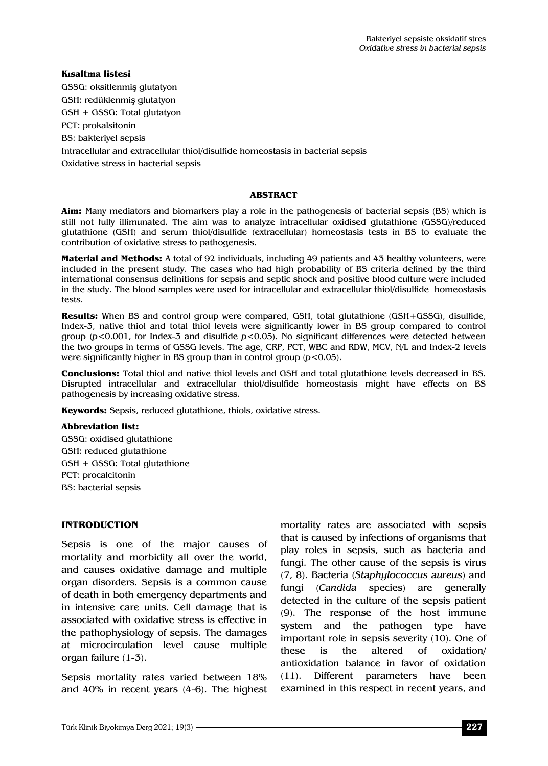**Kısaltma listesi**  GSSG: oksitlenmiş glutatyon GSH: redüklenmiş glutatyon GSH + GSSG: Total glutatyon PCT: prokalsitonin BS: bakteriyel sepsis Intracellular and extracellular thiol/disulfide homeostasis in bacterial sepsis Oxidative stress in bacterial sepsis

#### **ABSTRACT**

**Aim:** Many mediators and biomarkers play a role in the pathogenesis of bacterial sepsis (BS) which is still not fully illimunated. The aim was to analyze intracellular oxidised glutathione (GSSG)/reduced glutathione (GSH) and serum thiol/disulfide (extracellular) homeostasis tests in BS to evaluate the contribution of oxidative stress to pathogenesis.

**Material and Methods:** A total of 92 individuals, including 49 patients and 43 healthy volunteers, were included in the present study. The cases who had high probability of BS criteria defined by the third international consensus definitions for sepsis and septic shock and positive blood culture were included in the study. The blood samples were used for intracellular and extracellular thiol/disulfide homeostasis tests.

**Results:** When BS and control group were compared, GSH, total glutathione (GSH+GSSG), disulfide, Index-3, native thiol and total thiol levels were significantly lower in BS group compared to control group (*p*<0.001, for Index-3 and disulfide *p*<0.05). No significant differences were detected between the two groups in terms of GSSG levels. The age, CRP, PCT, WBC and RDW, MCV, N/L and Index-2 levels were significantly higher in BS group than in control group (*p*<0.05).

**Conclusions:** Total thiol and native thiol levels and GSH and total glutathione levels decreased in BS. Disrupted intracellular and extracellular thiol/disulfide homeostasis might have effects on BS pathogenesis by increasing oxidative stress.

**Keywords:** Sepsis, reduced glutathione, thiols, oxidative stress.

#### **Abbreviation list:**

GSSG: oxidised glutathione GSH: reduced glutathione GSH + GSSG: Total glutathione PCT: procalcitonin BS: bacterial sepsis

#### **INTRODUCTION**

Sepsis is one of the major causes of mortality and morbidity all over the world, and causes oxidative damage and multiple organ disorders. Sepsis is a common cause of death in both emergency departments and in intensive care units. Cell damage that is associated with oxidative stress is effective in the pathophysiology of sepsis. The damages at microcirculation level cause multiple organ failure (1-3).

Sepsis mortality rates varied between 18% and 40% in recent years (4-6). The highest mortality rates are associated with sepsis that is caused by infections of organisms that play roles in sepsis, such as bacteria and fungi. The other cause of the sepsis is virus (7, 8). Bacteria (*Staphylococcus aureus*) and fungi (*Candida* species) are generally detected in the culture of the sepsis patient (9). The response of the host immune system and the pathogen type have important role in sepsis severity (10). One of these is the altered of oxidation/ antioxidation balance in favor of oxidation (11). Different parameters have been examined in this respect in recent years, and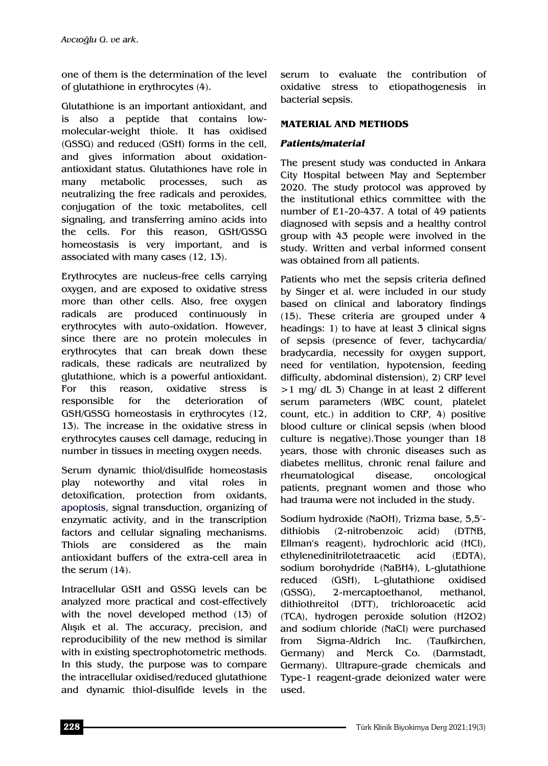one of them is the determination of the level of glutathione in erythrocytes (4).

Glutathione is an important antioxidant, and is also a peptide that contains lowmolecular-weight thiole. It has oxidised (GSSG) and reduced (GSH) forms in the cell, and gives information about oxidationantioxidant status. Glutathiones have role in many metabolic processes, such as neutralizing the free radicals and peroxides, conjugation of the toxic metabolites, cell signaling, and transferring amino acids into the cells. For this reason, GSH/GSSG homeostasis is very important, and is associated with many cases (12, 13).

Erythrocytes are nucleus-free cells carrying oxygen, and are exposed to oxidative stress more than other cells. Also, free oxygen radicals are produced continuously in erythrocytes with auto-oxidation. However, since there are no protein molecules in erythrocytes that can break down these radicals, these radicals are neutralized by glutathione, which is a powerful antioxidant. For this reason, oxidative stress is responsible for the deterioration of GSH/GSSG homeostasis in erythrocytes (12, 13). The increase in the oxidative stress in erythrocytes causes cell damage, reducing in number in tissues in meeting oxygen needs.

Serum dynamic thiol/disulfide homeostasis play noteworthy and vital roles in detoxification, protection from oxidants, apoptosis, signal transduction, organizing of enzymatic activity, and in the transcription factors and cellular signaling mechanisms. Thiols are considered as the main antioxidant buffers of the extra-cell area in the serum (14).

Intracellular GSH and GSSG levels can be analyzed more practical and cost-effectively with the novel developed method (13) of Alışık et al. The accuracy, precision, and reproducibility of the new method is similar with in existing spectrophotometric methods. In this study, the purpose was to compare the intracellular oxidised/reduced glutathione and dynamic thiol-disulfide levels in the

serum to evaluate the contribution of oxidative stress to etiopathogenesis in bacterial sepsis.

## **MATERIAL AND METHODS**

## *Patients/material*

The present study was conducted in Ankara City Hospital between May and September 2020. The study protocol was approved by the institutional ethics committee with the number of E1-20-437. A total of 49 patients diagnosed with sepsis and a healthy control group with 43 people were involved in the study. Written and verbal informed consent was obtained from all patients.

Patients who met the sepsis criteria defined by Singer et al. were included in our study based on clinical and laboratory findings (15). These criteria are grouped under 4 headings: 1) to have at least 3 clinical signs of sepsis (presence of fever, tachycardia/ bradycardia, necessity for oxygen support, need for ventilation, hypotension, feeding difficulty, abdominal distension), 2) CRP level >1 mg/ dL 3) Change in at least 2 different serum parameters (WBC count, platelet count, etc.) in addition to CRP, 4) positive blood culture or clinical sepsis (when blood culture is negative).Those younger than 18 years, those with chronic diseases such as diabetes mellitus, chronic renal failure and rheumatological disease, oncological patients, pregnant women and those who had trauma were not included in the study.

Sodium hydroxide (NaOH), Trizma base, 5,5′ dithiobis (2-nitrobenzoic acid) (DTNB, Ellman's reagent), hydrochloric acid (HCl), ethylenedinitrilotetraacetic acid (EDTA), sodium borohydride (NaBH4), L-glutathione reduced (GSH), L-glutathione oxidised (GSSG), 2-mercaptoethanol, methanol, dithiothreitol (DTT), trichloroacetic acid (TCA), hydrogen peroxide solution (H2O2) and sodium chloride (NaCl) were purchased from Sigma-Aldrich Inc. (Taufkirchen, Germany) and Merck Co. (Darmstadt, Germany). Ultrapure-grade chemicals and Type-1 reagent-grade deionized water were used.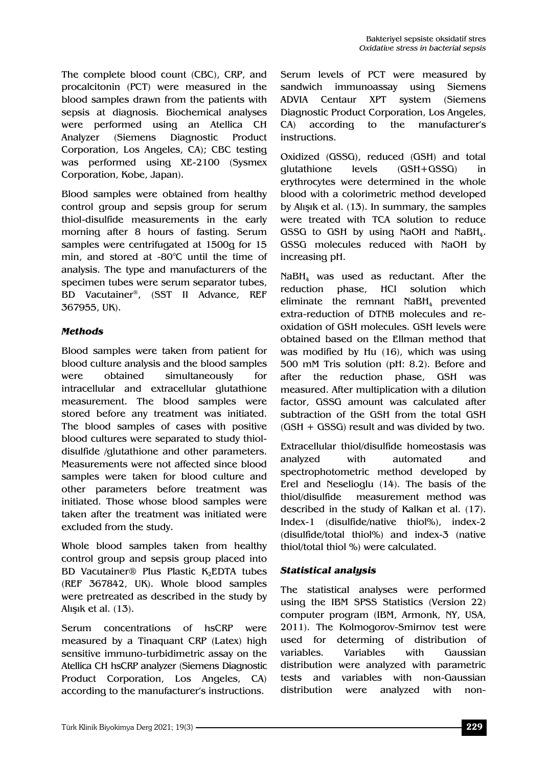The complete blood count (CBC), CRP, and procalcitonin (PCT) were measured in the blood samples drawn from the patients with sepsis at diagnosis. Biochemical analyses were performed using an Atellica CH Analyzer (Siemens Diagnostic Product Corporation, Los Angeles, CA); CBC testing was performed using XE-2100 (Sysmex Corporation, Kobe, Japan).

Blood samples were obtained from healthy control group and sepsis group for serum thiol-disulfide measurements in the early morning after 8 hours of fasting. Serum samples were centrifugated at 1500g for 15 min, and stored at -80°C until the time of analysis. The type and manufacturers of the specimen tubes were serum separator tubes, BD Vacutainer®, (SST II Advance, REF 367955, UK).

## *Methods*

Blood samples were taken from patient for blood culture analysis and the blood samples were obtained simultaneously for intracellular and extracellular glutathione measurement. The blood samples were stored before any treatment was initiated. The blood samples of cases with positive blood cultures were separated to study thioldisulfide /glutathione and other parameters. Measurements were not affected since blood samples were taken for blood culture and other parameters before treatment was initiated. Those whose blood samples were taken after the treatment was initiated were excluded from the study.

Whole blood samples taken from healthy control group and sepsis group placed into BD Vacutainer® Plus Plastic K<sub>2</sub>EDTA tubes (REF 367842, UK). Whole blood samples were pretreated as described in the study by Alışık et al. (13).

Serum concentrations of hsCRP were measured by a Tinaquant CRP (Latex) high sensitive immuno-turbidimetric assay on the Atellica CH hsCRP analyzer (Siemens Diagnostic Product Corporation, Los Angeles, CA) according to the manufacturer's instructions.

Serum levels of PCT were measured by sandwich immunoassay using Siemens ADVIA Centaur XPT system (Siemens Diagnostic Product Corporation, Los Angeles, CA) according to the manufacturer's instructions.

Oxidized (GSSG), reduced (GSH) and total glutathione levels (GSH+GSSG) in erythrocytes were determined in the whole blood with a colorimetric method developed by Alışık et al. (13). In summary, the samples were treated with TCA solution to reduce GSSG to GSH by using NaOH and NaBH<sub>4</sub>. GSSG molecules reduced with NaOH by increasing pH.

 $N$ aBH<sub>4</sub> was used as reductant. After the reduction phase, HCl solution which eliminate the remnant  $N$ aBH<sub>4</sub> prevented extra-reduction of DTNB molecules and reoxidation of GSH molecules. GSH levels were obtained based on the Ellman method that was modified by Hu (16), which was using 500 mM Tris solution (pH: 8.2). Before and after the reduction phase, GSH was measured. After multiplication with a dilution factor, GSSG amount was calculated after subtraction of the GSH from the total GSH (GSH + GSSG) result and was divided by two.

Extracellular thiol/disulfide homeostasis was analyzed with automated and spectrophotometric method developed by Erel and Neselioglu (14). The basis of the thiol/disulfide measurement method was described in the study of Kalkan et al. (17). Index-1 (disulfide/native thiol%), index-2 (disulfide/total thiol%) and index-3 (native thiol/total thiol %) were calculated.

## *Statistical analysis*

The statistical analyses were performed using the IBM SPSS Statistics (Version 22) computer program (IBM, Armonk, NY, USA, 2011). The Kolmogorov-Smirnov test were used for determing of distribution of variables. Variables with Gaussian distribution were analyzed with parametric tests and variables with non-Gaussian distribution were analyzed with non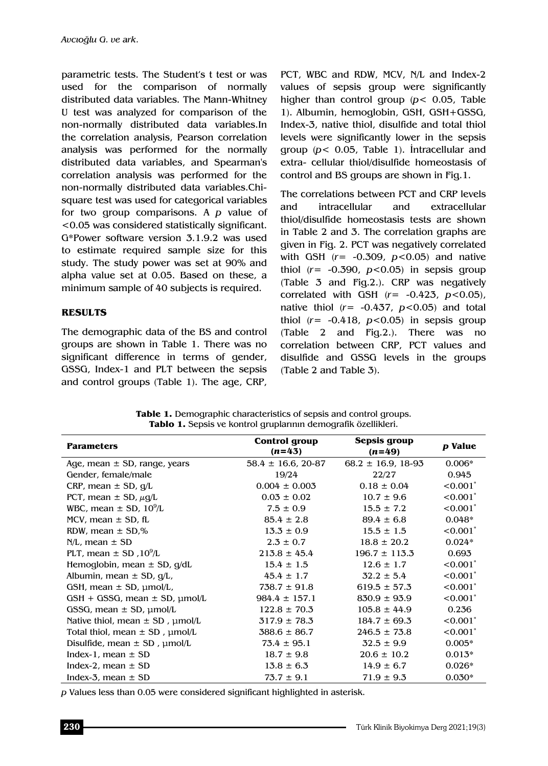parametric tests. The Student's t test or was used for the comparison of normally distributed data variables. The Mann-Whitney U test was analyzed for comparison of the non-normally distributed data variables.In the correlation analysis, Pearson correlation analysis was performed for the normally distributed data variables, and Spearman's correlation analysis was performed for the non-normally distributed data variables.Chisquare test was used for categorical variables for two group comparisons. A *p* value of <0.05 was considered statistically significant. G\*Power software version 3.1.9.2 was used to estimate required sample size for this study. The study power was set at 90% and alpha value set at 0.05. Based on these, a minimum sample of 40 subjects is required.

#### **RESULTS**

The demographic data of the BS and control groups are shown in Table 1. There was no significant difference in terms of gender, GSSG, Index-1 and PLT between the sepsis and control groups (Table 1). The age, CRP,

PCT, WBC and RDW, MCV, N/L and Index-2 values of sepsis group were significantly higher than control group (*p*< 0.05, Table 1). Albumin, hemoglobin, GSH, GSH+GSSG, Index-3, native thiol, disulfide and total thiol levels were significantly lower in the sepsis group (*p*< 0.05, Table 1). İntracellular and extra- cellular thiol/disulfide homeostasis of control and BS groups are shown in Fig.1.

The correlations between PCT and CRP levels and intracellular and extracellular thiol/disulfide homeostasis tests are shown in Table 2 and 3. The correlation graphs are given in Fig. 2. PCT was negatively correlated with GSH (*r*= -0.309, *p*<0.05) and native thiol  $(r = -0.390, p < 0.05)$  in sepsis group (Table 3 and Fig.2.). CRP was negatively correlated with GSH (*r*= -0.423, *p*<0.05), native thiol (*r*= -0.437, *p*<0.05) and total thiol  $(r = -0.418, p < 0.05)$  in sepsis group (Table 2 and Fig.2.). There was no correlation between CRP, PCT values and disulfide and GSSG levels in the groups (Table 2 and Table 3).

| <b>Parameters</b>                         | <b>Control group</b><br>$(n=43)$ | Sepsis group<br>$(n=49)$ | p Value                |
|-------------------------------------------|----------------------------------|--------------------------|------------------------|
| Age, mean $\pm$ SD, range, years          | $58.4 \pm 16.6$ , 20-87          | $68.2 \pm 16.9, 18-93$   | $0.006*$               |
| Gender, female/male                       | 19/24                            | 22/27                    | 0.945                  |
| CRP, mean $\pm$ SD, $q/L$                 | $0.004 \pm 0.003$                | $0.18 \pm 0.04$          | $< 0.001^*$            |
| PCT, mean $\pm$ SD, $\mu q/L$             | $0.03 \pm 0.02$                  | $10.7 \pm 9.6$           | $< 0.001$ <sup>*</sup> |
| WBC, mean $\pm$ SD, 10 <sup>9</sup> /L    | $7.5 \pm 0.9$                    | $15.5 \pm 7.2$           | $< 0.001$ <sup>*</sup> |
| MCV, mean $\pm$ SD, fL                    | $85.4 \pm 2.8$                   | $89.4 \pm 6.8$           | $0.048*$               |
| RDW, mean $\pm$ SD,%                      | $13.3 \pm 0.9$                   | $15.5 \pm 1.5$           | $< 0.001^*$            |
| $N/L$ , mean $\pm$ SD                     | $2.3 \pm 0.7$                    | $18.8 \pm 20.2$          | $0.024*$               |
| PLT, mean $\pm$ SD, 10 <sup>9</sup> /L    | $213.8 \pm 45.4$                 | $196.7 \pm 113.3$        | 0.693                  |
| Hemoglobin, mean $\pm$ SD, g/dL           | $15.4 \pm 1.5$                   | $12.6 \pm 1.7$           | $< 0.001$ <sup>*</sup> |
| Albumin, mean ± SD, g/L,                  | $45.4 \pm 1.7$                   | $32.2 \pm 5.4$           | $< 0.001$ <sup>*</sup> |
| GSH, mean $\pm$ SD, $\mu$ mol/L,          | $738.7 \pm 91.8$                 | $619.5 \pm 57.3$         | $< 0.001$ <sup>*</sup> |
| $GSH + GSSG$ , mean $\pm$ SD, $\mu$ mol/L | $984.4 \pm 157.1$                | $830.9 \pm 93.9$         | < 0.001                |
| GSSG, mean $\pm$ SD, $\mu$ mol/L          | $122.8 \pm 70.3$                 | $105.8 \pm 44.9$         | 0.236                  |
| Native thiol, mean $\pm$ SD, $\mu$ mol/L  | $317.9 \pm 78.3$                 | $184.7 \pm 69.3$         | $< 0.001$ <sup>*</sup> |
| Total thiol, mean $\pm$ SD, $\mu$ mol/L   | $388.6 \pm 86.7$                 | $246.5 \pm 73.8$         | $< 0.001$ <sup>*</sup> |
| Disulfide, mean $\pm$ SD, $\mu$ mol/L     | $73.4 \pm 95.1$                  | $32.5 \pm 9.9$           | $0.005*$               |
| Index-1, mean $\pm$ SD                    | $18.7 \pm 9.8$                   | $20.6 \pm 10.2$          | $0.013*$               |
| Index-2, mean $\pm$ SD                    | $13.8 \pm 6.3$                   | $14.9 \pm 6.7$           | $0.026*$               |
| Index-3, mean $\pm$ SD                    | $73.7 \pm 9.1$                   | $71.9 \pm 9.3$           | $0.030*$               |

**Table 1.** Demographic characteristics of sepsis and control groups. **Tablo 1.** Sepsis ve kontrol gruplarının demografik özellikleri.

*p* Values less than 0.05 were considered significant highlighted in asterisk.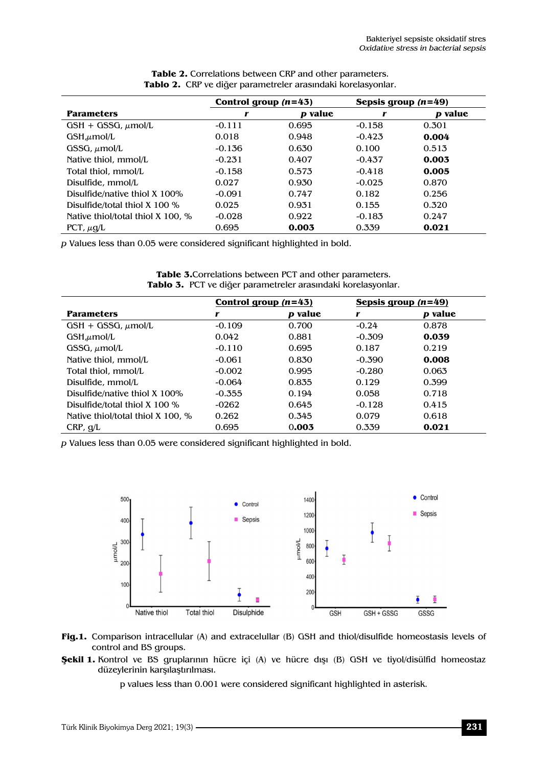|                                   | Control group $(n=43)$ |         | Sepsis group $(n=49)$ |         |
|-----------------------------------|------------------------|---------|-----------------------|---------|
| <b>Parameters</b>                 | r                      | p value | r                     | p value |
| $GSH + GSSG, \mu mol/L$           | $-0.111$               | 0.695   | $-0.158$              | 0.301   |
| GSH <sub>μ</sub> mol/L            | 0.018                  | 0.948   | $-0.423$              | 0.004   |
| GSSG, $\mu$ mol/L                 | $-0.136$               | 0.630   | 0.100                 | 0.513   |
| Native thiol, mmol/L              | $-0.231$               | 0.407   | $-0.437$              | 0.003   |
| Total thiol, mmol/L               | $-0.158$               | 0.573   | $-0.418$              | 0.005   |
| Disulfide, mmol/L                 | 0.027                  | 0.930   | $-0.025$              | 0.870   |
| Disulfide/native thiol X 100%     | $-0.091$               | 0.747   | 0.182                 | 0.256   |
| Disulfide/total thiol $X$ 100 %   | 0.025                  | 0.931   | 0.155                 | 0.320   |
| Native thiol/total thiol X 100. % | $-0.028$               | 0.922   | $-0.183$              | 0.247   |
| PCT, $\mu q/L$                    | 0.695                  | 0.003   | 0.339                 | 0.021   |

| <b>Table 2.</b> Correlations between CRP and other parameters. |  |
|----------------------------------------------------------------|--|
| Tablo 2. CRP ve diğer parametreler arasındaki korelasyonlar.   |  |

*p* Values less than 0.05 were considered significant highlighted in bold.

|                                   | Control group $(n=43)$ |                | Sepsis group $(n=49)$ |                |
|-----------------------------------|------------------------|----------------|-----------------------|----------------|
| <b>Parameters</b>                 | r                      | <i>p</i> value | r                     | <i>p</i> value |
| $GSH + GSSG, \mu mol/L$           | $-0.109$               | 0.700          | $-0.24$               | 0.878          |
| $GSH,\mu$ mol/L                   | 0.042                  | 0.881          | $-0.309$              | 0.039          |
| GSSG, $\mu$ mol/L                 | $-0.110$               | 0.695          | 0.187                 | 0.219          |
| Native thiol, mmol/L              | $-0.061$               | 0.830          | $-0.390$              | 0.008          |
| Total thiol, mmol/L               | $-0.002$               | 0.995          | $-0.280$              | 0.063          |
| Disulfide, mmol/L                 | $-0.064$               | 0.835          | 0.129                 | 0.399          |
| Disulfide/native thiol X 100%     | $-0.355$               | 0.194          | 0.058                 | 0.718          |
| Disulfide/total thiol $X$ 100 %   | -0262                  | 0.645          | $-0.128$              | 0.415          |
| Native thiol/total thiol X 100, % | 0.262                  | 0.345          | 0.079                 | 0.618          |
| CRP, q/L                          | 0.695                  | 0.003          | 0.339                 | 0.021          |

**Table 3.**Correlations between PCT and other parameters. **Tablo 3.** PCT ve diğer parametreler arasındaki korelasyonlar.

*p* Values less than 0.05 were considered significant highlighted in bold.





**Şekil 1.** Kontrol ve BS gruplarının hücre içi (A) ve hücre dışı (B) GSH ve tiyol/disülfid homeostaz düzeylerinin karşılaştırılması.

p values less than 0.001 were considered significant highlighted in asterisk.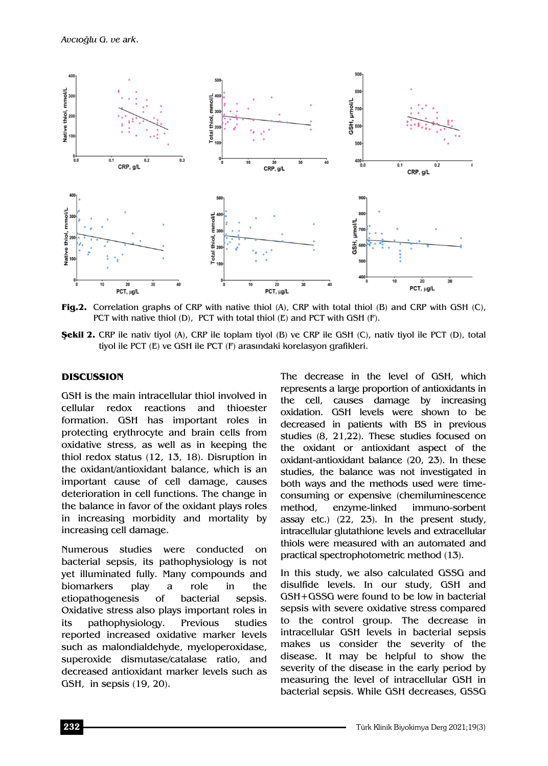

**Fig.2.** Correlation graphs of CRP with native thiol (A), CRP with total thiol (B) and CRP with GSH (C), PCT with native thiol  $(D)$ , PCT with total thiol  $(E)$  and PCT with GSH  $(F)$ .

**Şekil 2.** CRP ile nativ tiyol (A), CRP ile toplam tiyol (B) ve CRP ile GSH (C), nativ tiyol ile PCT (D), total tiyol ile PCT (E) ve GSH ile PCT (F) arasındaki korelasyon grafikleri.

#### **DISCUSSION**

GSH is the main intracellular thiol involved in cellular redox reactions and thioester formation. GSH has important roles in protecting erythrocyte and brain cells from oxidative stress, as well as in keeping the thiol redox status (12, 13, 18). Disruption in the oxidant/antioxidant balance, which is an important cause of cell damage, causes deterioration in cell functions. The change in the balance in favor of the oxidant plays roles in increasing morbidity and mortality by increasing cell damage.

Numerous studies were conducted on bacterial sepsis, its pathophysiology is not yet illuminated fully. Many compounds and biomarkers play a role in the etiopathogenesis of bacterial sepsis. Oxidative stress also plays important roles in its pathophysiology. Previous studies reported increased oxidative marker levels such as malondialdehyde, myeloperoxidase, superoxide dismutase/catalase ratio, and decreased antioxidant marker levels such as GSH, in sepsis (19, 20).

The decrease in the level of GSH, which represents a large proportion of antioxidants in the cell, causes damage by increasing oxidation. GSH levels were shown to be decreased in patients with BS in previous studies (8, 21,22). These studies focused on the oxidant or antioxidant aspect of the oxidant-antioxidant balance (20, 23). In these studies, the balance was not investigated in both ways and the methods used were timeconsuming or expensive (chemiluminescence method, enzyme-linked immuno-sorbent assay etc.) (22, 23). In the present study, intracellular glutathione levels and extracellular thiols were measured with an automated and practical spectrophotometric method (13).

In this study, we also calculated GSSG and disulfide levels. In our study, GSH and GSH+GSSG were found to be low in bacterial sepsis with severe oxidative stress compared to the control group. The decrease in intracellular GSH levels in bacterial sepsis makes us consider the severity of the disease. It may be helpful to show the severity of the disease in the early period by measuring the level of intracellular GSH in bacterial sepsis. While GSH decreases, GSSG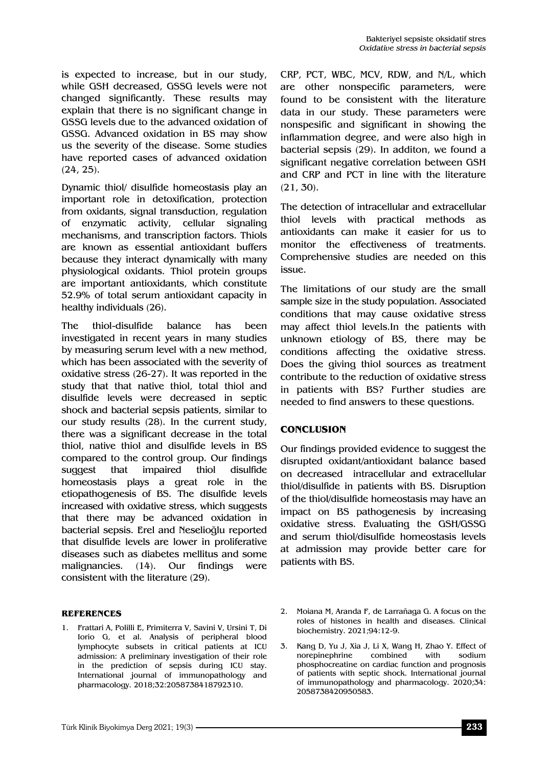is expected to increase, but in our study, while GSH decreased, GSSG levels were not changed significantly. These results may explain that there is no significant change in GSSG levels due to the advanced oxidation of GSSG. Advanced oxidation in BS may show us the severity of the disease. Some studies have reported cases of advanced oxidation (24, 25).

Dynamic thiol/ disulfide homeostasis play an important role in detoxification, protection from oxidants, signal transduction, regulation of enzymatic activity, cellular signaling mechanisms, and transcription factors. Thiols are known as essential antioxidant buffers because they interact dynamically with many physiological oxidants. Thiol protein groups are important antioxidants, which constitute 52.9% of total serum antioxidant capacity in healthy individuals (26).

The thiol-disulfide balance has been investigated in recent years in many studies by measuring serum level with a new method, which has been associated with the severity of oxidative stress (26-27). It was reported in the study that that native thiol, total thiol and disulfide levels were decreased in septic shock and bacterial sepsis patients, similar to our study results (28). In the current study, there was a significant decrease in the total thiol, native thiol and disulfide levels in BS compared to the control group. Our findings suggest that impaired thiol disulfide homeostasis plays a great role in the etiopathogenesis of BS. The disulfide levels increased with oxidative stress, which suggests that there may be advanced oxidation in bacterial sepsis. Erel and Neselioğlu reported that disulfide levels are lower in proliferative diseases such as diabetes mellitus and some malignancies. (14). Our findings were consistent with the literature (29).

#### **REFERENCES**

1. Frattari A, Polilli E, Primiterra V, Savini V, Ursini T, Di Iorio G, et al. Analysis of peripheral blood lymphocyte subsets in critical patients at ICU admission: A preliminary investigation of their role in the prediction of sepsis during ICU stay. International journal of immunopathology and pharmacology. 2018;32:2058738418792310.

CRP, PCT, WBC, MCV, RDW, and N/L, which are other nonspecific parameters, were found to be consistent with the literature data in our study. These parameters were nonspesific and significant in showing the inflammation degree, and were also high in bacterial sepsis (29). In additon, we found a significant negative correlation between GSH and CRP and PCT in line with the literature (21, 30).

The detection of intracellular and extracellular thiol levels with practical methods as antioxidants can make it easier for us to monitor the effectiveness of treatments. Comprehensive studies are needed on this issue.

The limitations of our study are the small sample size in the study population. Associated conditions that may cause oxidative stress may affect thiol levels.In the patients with unknown etiology of BS, there may be conditions affecting the oxidative stress. Does the giving thiol sources as treatment contribute to the reduction of oxidative stress in patients with BS? Further studies are needed to find answers to these questions.

### **CONCLUSION**

Our findings provided evidence to suggest the disrupted oxidant/antioxidant balance based on decreased intracellular and extracellular thiol/disulfide in patients with BS. Disruption of the thiol/disulfide homeostasis may have an impact on BS pathogenesis by increasing oxidative stress. Evaluating the GSH/GSSG and serum thiol/disulfide homeostasis levels at admission may provide better care for patients with BS.

2. Moiana M, Aranda F, de Larrañaga G. A focus on the roles of histones in health and diseases. Clinical biochemistry. 2021;94:12-9.

3. Kang D, Yu J, Xia J, Li X, Wang H, Zhao Y. Effect of norepinephrine combined with sodium phosphocreatine on cardiac function and prognosis of patients with septic shock. International journal of immunopathology and pharmacology. 2020;34: 2058738420950583.